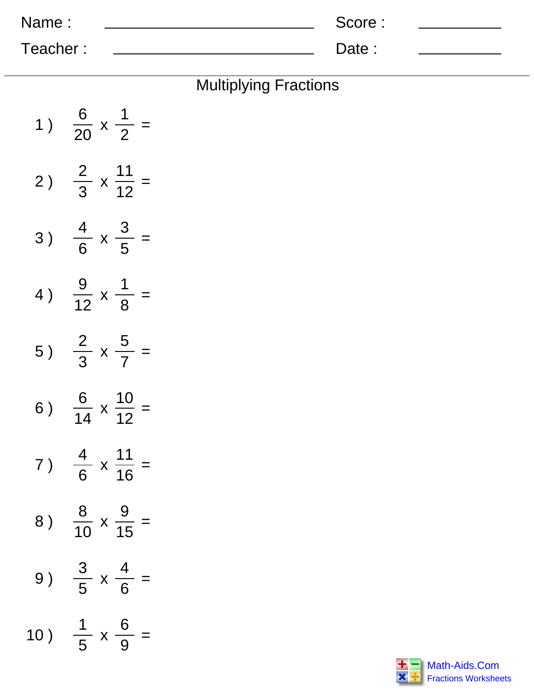| Name:    | Score: |  |
|----------|--------|--|
| Teacher: | Date:  |  |

| <b>Multiplying Fractions</b> |  |
|------------------------------|--|
|------------------------------|--|

| 1)  | $\frac{6}{20}$ x $\frac{1}{2}$ =      |
|-----|---------------------------------------|
| 2)  | $\frac{2}{3}$ x $\frac{11}{12}$ =     |
| 3)  | $\frac{4}{6}$ x $\frac{3}{5}$ =       |
| 4)  | $\frac{9}{12} \times \frac{1}{8}$ =   |
| 5)  | $\frac{2}{3}$ x $\frac{5}{7}$ =       |
| 6)  | $\frac{6}{14} \times \frac{10}{12} =$ |
| 7)  | $\frac{4}{6}$ x $\frac{11}{16}$ =     |
| 8)  | $\frac{8}{10}$ x $\frac{9}{15}$ =     |
| 9)  | $x \frac{4}{6} =$<br>$\frac{3}{5}$    |
| 10) | $\frac{1}{5}$ x $\frac{6}{9}$         |